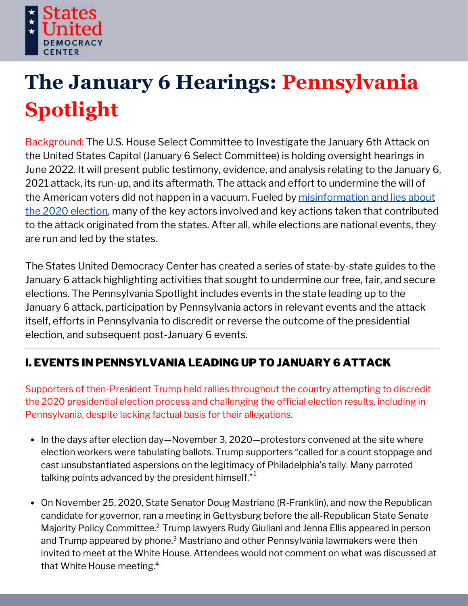

# **The January 6 Hearings: Pennsylvania Spotlight**

Background: The U.S. House Select Committee to Investigate the January 6th Attack on the United States Capitol (January 6 Select Committee) is holding oversight hearings in June 2022. It will present public testimony, evidence, and analysis relating to the January 6, 2021 attack, its run-up, and its aftermath. The attack and effort to undermine the will of the American voters did not happen in a vacuum. Fueled by [misinformation](https://statesuniteddemocracy.org/wp-content/uploads/2021/01/000A-Myths-and-Facts-of-the-2020-Presidential-Election-20210113-FINAL.pdf) and lies about the 2020 election, many of the key actors involved and key actions taken that contributed to the attack originated from the states. After all, while elections are national events, they are run and led by the states.

The States United Democracy Center has created a series of state-by-state guides to the January 6 attack highlighting activities that sought to undermine our free, fair, and secure elections. The Pennsylvania Spotlight includes events in the state leading up to the January 6 attack, participation by Pennsylvania actors in relevant events and the attack itself, efforts in Pennsylvania to discredit or reverse the outcome of the presidential election, and subsequent post-January 6 events.

## I. EVENTS IN PENNSYLVANIA LEADING UP TO JANUARY 6 ATTACK

Supporters of then-President Trump held rallies throughout the country attempting to discredit the 2020 presidential election process and challenging the official election results, including in Pennsylvania, despite lacking factual basis for their allegations.

- In the days after election day—November 3, 2020—protestors convened at the site where election workers were tabulating ballots. Trump supporters "called for a count stoppage and cast unsubstantiated aspersions on the legitimacy of Philadelphia's tally. Many parroted talking points advanced by the president himself." $^{\rm 1}$
- On November 25, 2020, State Senator Doug Mastriano (R-Franklin), and now the Republican candidate for governor, ran a meeting in Gettysburg before the all-Republican State Senate Majority Policy Committee.<sup>2</sup> Trump lawyers Rudy Giuliani and Jenna Ellis appeared in person and Trump appeared by phone. $^3$  Mastriano and other Pennsylvania lawmakers were then invited to meet at the White House. Attendees would not comment on what was discussed at that White House meeting. 4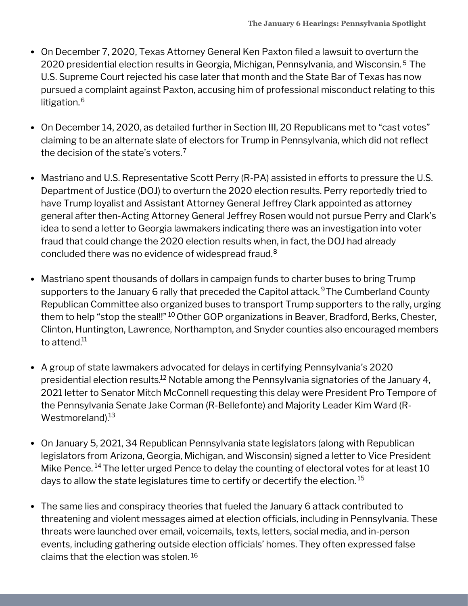- On December 7, 2020, Texas Attorney General Ken Paxton filed a lawsuit to overturn the 2020 presidential election results in Georgia, Michigan, Pennsylvania, and Wisconsin. <sup>5</sup> The U.S. Supreme Court rejected his case later that month and the State Bar of Texas has now pursued a complaint against Paxton, accusing him of professional misconduct relating to this litigation. 6
- On December 14, 2020, as detailed further in Section III, 20 Republicans met to "cast votes" claiming to be an alternate slate of electors for Trump in Pennsylvania, which did not reflect the decision of the state's voters. 7
- Mastriano and U.S. Representative Scott Perry (R-PA) assisted in efforts to pressure the U.S. Department of Justice (DOJ) to overturn the 2020 election results. Perry reportedly tried to have Trump loyalist and Assistant Attorney General Jeffrey Clark appointed as attorney general after then-Acting Attorney General Jeffrey Rosen would not pursue Perry and Clark's idea to send a letter to Georgia lawmakers indicating there was an investigation into voter fraud that could change the 2020 election results when, in fact, the DOJ had already concluded there was no evidence of widespread fraud. 8
- Mastriano spent thousands of dollars in campaign funds to charter buses to bring Trump supporters to the January 6 rally that preceded the Capitol attack.<sup>9</sup>The Cumberland County Republican Committee also organized buses to transport Trump supporters to the rally, urging them to help "stop the steal!!" <sup>10</sup> Other GOP organizations in Beaver, Bradford, Berks, Chester, Clinton, Huntington, Lawrence, Northampton, and Snyder counties also encouraged members to attend.<sup>11</sup>
- A group of state lawmakers advocated for delays in certifying Pennsylvania's 2020 presidential election results. $^{12}$  Notable among the Pennsylvania signatories of the January 4, 2021 letter to Senator Mitch McConnell requesting this delay were President Pro Tempore of the Pennsylvania Senate Jake Corman (R-Bellefonte) and Majority Leader Kim Ward (R-Westmoreland).<sup>13</sup>
- On January 5, 2021, 34 Republican Pennsylvania state legislators (along with Republican legislators from Arizona, Georgia, Michigan, and Wisconsin) signed a letter to Vice President Mike Pence.  $^{14}$  The letter urged Pence to delay the counting of electoral votes for at least 10 days to allow the state legislatures time to certify or decertify the election.  $^{\rm 15}$
- The same lies and conspiracy theories that fueled the January 6 attack contributed to threatening and violent messages aimed at election officials, including in Pennsylvania. These threats were launched over email, voicemails, texts, letters, social media, and in-person events, including gathering outside election officials' homes. They often expressed false claims that the election was stolen. 16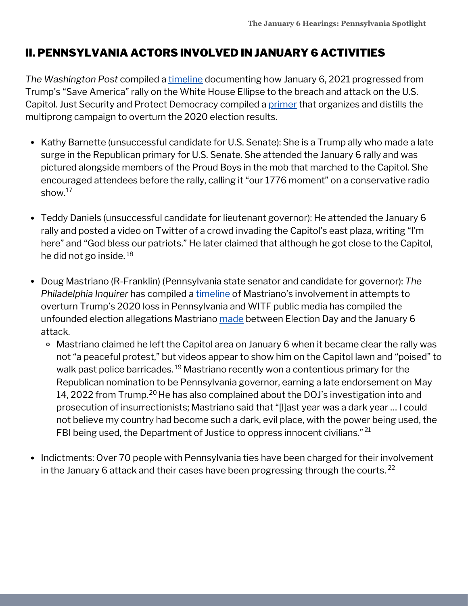## II. PENNSYLVANIA ACTORS INVOLVED IN JANUARY 6 ACTIVITIES

*The Washington Post* compiled a [timeline](https://www.washingtonpost.com/nation/interactive/2021/capitol-insurrection-visual-timeline/) documenting how January 6, 2021 progressed from Trump's "Save America" rally on the White House Ellipse to the breach and attack on the U.S. Capitol. Just Security and Protect Democracy compiled a [primer](https://www.justsecurity.org/wp-content/uploads/2022/06/primer-on-january-6th-select-committee-hearings.pdf) that organizes and distills the multiprong campaign to overturn the 2020 election results.

- Kathy Barnette (unsuccessful candidate for U.S. Senate): She is a Trump ally who made a late surge in the Republican primary for U.S. Senate. She attended the January 6 rally and was pictured alongside members of the Proud Boys in the mob that marched to the Capitol. She encouraged attendees before the rally, calling it "our 1776 moment" on a conservative radio show. $^{17}$
- Teddy Daniels (unsuccessful candidate for lieutenant governor): He attended the January 6 rally and posted a video on Twitter of a crowd invading the Capitol's east plaza, writing "I'm here" and "God bless our patriots." He later claimed that although he got close to the Capitol, he did not go inside. 18
- Doug Mastriano (R-Franklin) (Pennsylvania state senator and candidate for governor): *The Philadelphia Inquirer* has compiled a [timeline](https://www.inquirer.com/politics/pennsylvania/inq2/doug-mastriano-pennsylvania-2020-election-denial-timeline-20220609.html) of Mastriano's involvement in attempts to overturn Trump's 2020 loss in Pennsylvania and WITF public media has compiled the unfounded election allegations Mastriano [made](https://www.witf.org/2022/06/09/how-doug-mastriano-promoted-election-lies-between-election-day-and-january-6/) between Election Day and the January 6 attack.
	- Mastriano claimed he left the Capitol area on January 6 when it became clear the rally was not "a peaceful protest," but videos appear to show him on the Capitol lawn and "poised" to walk past police barricades.<sup>19</sup> Mastriano recently won a contentious primary for the Republican nomination to be Pennsylvania governor, earning a late endorsement on May 14, 2022 from Trump. $^{\mathrm{20}}$  He has also complained about the DOJ's investigation into and prosecution of insurrectionists; Mastriano said that "[l]ast year was a dark year … I could not believe my country had become such a dark, evil place, with the power being used, the FBI being used, the Department of Justice to oppress innocent civilians."  $^{21}$
- Indictments: Over 70 people with Pennsylvania ties have been charged for their involvement in the January 6 attack and their cases have been progressing through the courts.  $^{22}$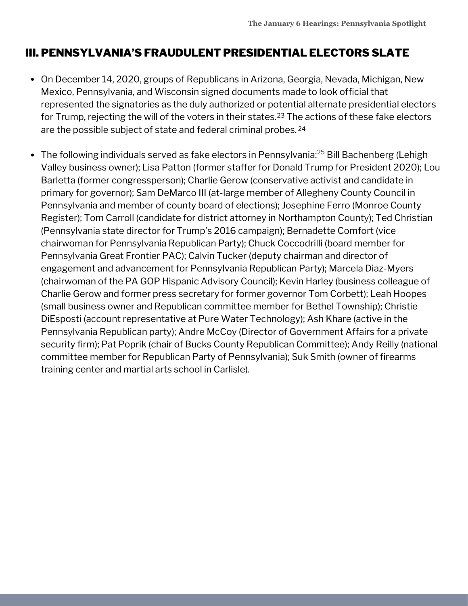## III. PENNSYLVANIA'S FRAUDULENT PRESIDENTIAL ELECTORS SLATE

- On December 14, 2020, groups of Republicans in Arizona, Georgia, Nevada, Michigan, New Mexico, Pennsylvania, and Wisconsin signed documents made to look official that represented the signatories as the duly authorized or potential alternate presidential electors for Trump, rejecting the will of the voters in their states. $^{23}$  The actions of these fake electors are the possible subject of state and federal criminal probes. 24
- The following individuals served as fake electors in Pennsylvania:<sup>25</sup> Bill Bachenberg (Lehigh Valley business owner); Lisa Patton (former staffer for Donald Trump for President 2020); Lou Barletta (former congressperson); Charlie Gerow (conservative activist and candidate in primary for governor); Sam DeMarco III (at-large member of Allegheny County Council in Pennsylvania and member of county board of elections); Josephine Ferro (Monroe County Register); Tom Carroll (candidate for district attorney in Northampton County); Ted Christian (Pennsylvania state director for Trump's 2016 campaign); Bernadette Comfort (vice chairwoman for Pennsylvania Republican Party); Chuck Coccodrilli (board member for Pennsylvania Great Frontier PAC); Calvin Tucker (deputy chairman and director of engagement and advancement for Pennsylvania Republican Party); Marcela Diaz-Myers (chairwoman of the PA GOP Hispanic Advisory Council); Kevin Harley (business colleague of Charlie Gerow and former press secretary for former governor Tom Corbett); Leah Hoopes (small business owner and Republican committee member for Bethel Township); Christie DiEsposti (account representative at Pure Water Technology); Ash Khare (active in the Pennsylvania Republican party); Andre McCoy (Director of Government Affairs for a private security firm); Pat Poprik (chair of Bucks County Republican Committee); Andy Reilly (national committee member for Republican Party of Pennsylvania); Suk Smith (owner of firearms training center and martial arts school in Carlisle).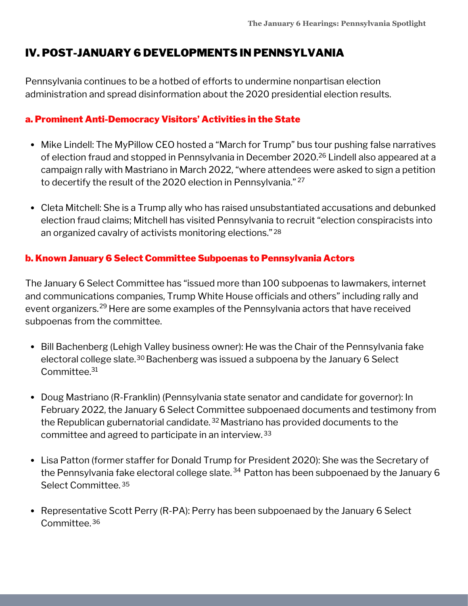## IV. POST-JANUARY 6 DEVELOPMENTS IN PENNSYLVANIA

Pennsylvania continues to be a hotbed of efforts to undermine nonpartisan election administration and spread disinformation about the 2020 presidential election results.

### a. Prominent Anti-Democracy Visitors' Activities in the State

- Mike Lindell: The MyPillow CEO hosted a "March for Trump" bus tour pushing false narratives of election fraud and stopped in Pennsylvania in December 2020.<sup>26</sup> Lindell also appeared at a campaign rally with Mastriano in March 2022, "where attendees were asked to sign a petition to decertify the result of the 2020 election in Pennsylvania." 27
- Cleta Mitchell: She is a Trump ally who has raised unsubstantiated accusations and debunked election fraud claims; Mitchell has visited Pennsylvania to recruit "election conspiracists into an organized cavalry of activists monitoring elections." 28

## b. Known January 6 Select Committee Subpoenas to Pennsylvania Actors

The January 6 Select Committee has "issued more than 100 subpoenas to lawmakers, internet and communications companies, Trump White House officials and others" including rally and event organizers.<sup>29</sup> Here are some examples of the Pennsylvania actors that have received subpoenas from the committee.

- Bill Bachenberg (Lehigh Valley business owner): He was the Chair of the Pennsylvania fake electoral college slate.<sup>30</sup> Bachenberg was issued a subpoena by the January 6 Select Committee. 31
- Doug Mastriano (R-Franklin) (Pennsylvania state senator and candidate for governor): In February 2022, the January 6 Select Committee subpoenaed documents and testimony from the Republican gubernatorial candidate.<sup>32</sup> Mastriano has provided documents to the committee and agreed to participate in an interview. 33
- Lisa Patton (former staffer for Donald Trump for President 2020): She was the Secretary of the Pennsylvania fake electoral college slate. $^{34}$  Patton has been subpoenaed by the January 6 Select Committee. 35
- Representative Scott Perry (R-PA): Perry has been subpoenaed by the January 6 Select Committee. 36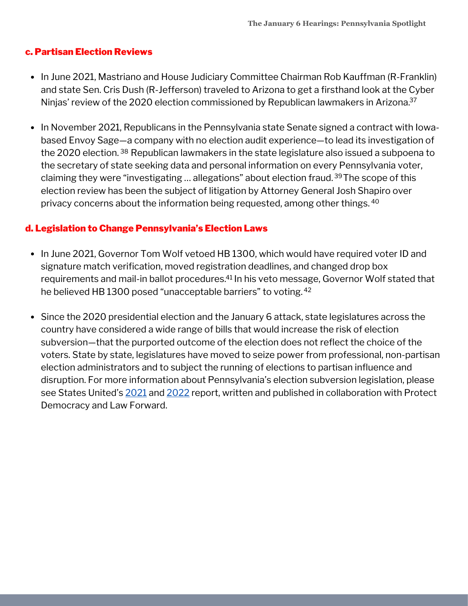#### c. Partisan Election Reviews

- In June 2021, Mastriano and House Judiciary Committee Chairman Rob Kauffman (R-Franklin) and state Sen. Cris Dush (R-Jefferson) traveled to Arizona to get a firsthand look at the Cyber Ninjas' review of the 2020 election commissioned by Republican lawmakers in Arizona. 37
- In November 2021, Republicans in the Pennsylvania state Senate signed a contract with Iowabased Envoy Sage—a company with no election audit experience—to lead its investigation of the 2020 election. <sup>38</sup> Republican lawmakers in the state legislature also issued a subpoena to the secretary of state seeking data and personal information on every Pennsylvania voter, claiming they were "investigating … allegations" about election fraud.<sup>39</sup>The scope of this election review has been the subject of litigation by Attorney General Josh Shapiro over privacy concerns about the information being requested, among other things. 40

### d. Legislation to Change Pennsylvania's Election Laws

- In June 2021, Governor Tom Wolf vetoed HB 1300, which would have required voter ID and signature match verification, moved registration deadlines, and changed drop box requirements and mail-in ballot procedures.<sup>41</sup> In his veto message, Governor Wolf stated that he believed HB 1300 posed "unacceptable barriers" to voting. 42
- Since the 2020 presidential election and the January 6 attack, state legislatures across the country have considered a wide range of bills that would increase the risk of election subversion—that the purported outcome of the election does not reflect the choice of the voters. State by state, legislatures have moved to seize power from professional, non-partisan election administrators and to subject the running of elections to partisan influence and disruption. For more information about Pennsylvania's election subversion legislation, please see States United's [2021](https://statesuniteddemocracy.org/wp-content/uploads/2021/04/FINAL-Democracy-Crisis-Report-April-21.pdf) and [2022](https://statesuniteddemocracy.org/wp-content/uploads/2022/05/DCITM_2022.pdf) report, written and published in collaboration with Protect Democracy and Law Forward.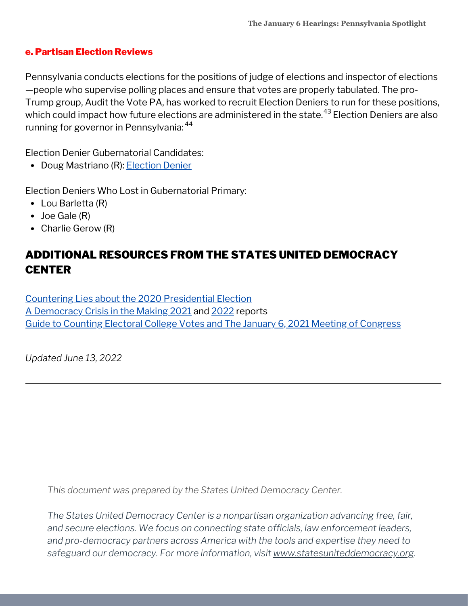#### e. Partisan Election Reviews

Pennsylvania conducts elections for the positions of judge of elections and inspector of elections —people who supervise polling places and ensure that votes are properly tabulated. The pro-Trump group, Audit the Vote PA, has worked to recruit Election Deniers to run for these positions, which could impact how future elections are administered in the state.<sup>43</sup> Election Deniers are also running for governor in Pennsylvania: 44

Election Denier Gubernatorial Candidates:

• Doug Mastriano (R): [Election](https://statesuniteddemocracy.org/wp-content/uploads/2022/06/gov_deniers.html#429_Pennsylvania_-_Doug_Mastriano) Denier

Election Deniers Who Lost in Gubernatorial Primary:

- Lou Barletta (R)
- Joe Gale (R)
- Charlie Gerow (R)

# ADDITIONAL RESOURCES FROM THE STATES UNITED DEMOCRACY **CENTER**

Countering Lies about the 2020 [Presidential](https://statesuniteddemocracy.org/wp-content/uploads/2021/01/000A-Myths-and-Facts-of-the-2020-Presidential-Election-20210113-FINAL.pdf) Election A [Democracy](https://statesuniteddemocracy.org/resources/democracy-crisis-in-the-making-how-state-legislatures-are-politicizing-criminalizing-and-interfering-with-elections/) Crisis in the Making [2021](https://statesuniteddemocracy.org/wp-content/uploads/2021/04/FINAL-Democracy-Crisis-Report-April-21.pdf) and [2022](https://statesuniteddemocracy.org/wp-content/uploads/2022/05/DCITM_2022.pdf) reports Guide to Counting Electoral College Votes and The January 6, 2021 Meeting of [Congress](https://statesuniteddemocracy.org/wp-content/uploads/2021/01/VPP-Guide-to-Counting-Electoral-Votes.pdf)

*Updated June 13, 2022*

*This document was prepared by the States United Democracy Center.*

*The States United Democracy Center is a nonpartisan organization advancing free, fair, and secure elections. We focus on connecting state officials, law enforcement leaders, and pro-democracy partners across America with the tools and expertise they need to safeguard our democracy. For more information, visit [www.statesuniteddemocracy.org.](http://www.statesuniteddemocracy.org/)*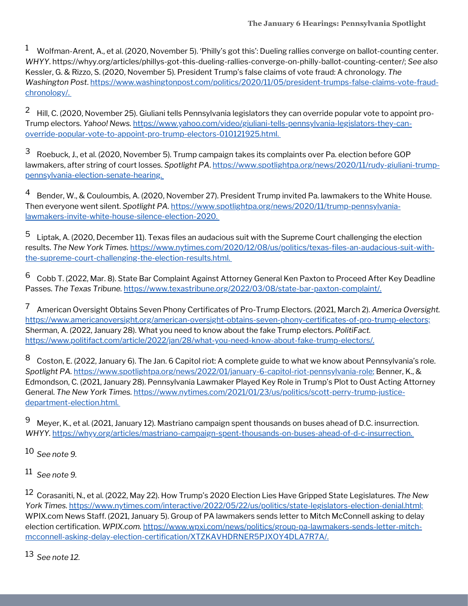$^1$  Wolfman-Arent, A., et al. (2020, November 5). 'Philly's got this': Dueling rallies converge on ballot-counting center. *WHYY*. [https://whyy.org/articles/phillys-got-this-dueling-rallies-converge-on-philly-ballot-counting-center/;](https://whyy.org/articles/phillys-got-this-dueling-rallies-converge-on-philly-ballot-counting-center/) *See also* Kessler, G. & Rizzo, S. (2020, November 5). President Trump's false claims of vote fraud: A chronology. *The Washington Post*. [https://www.washingtonpost.com/politics/2020/11/05/president-trumps-false-claims-vote-fraud](https://www.washingtonpost.com/politics/2020/11/05/president-trumps-false-claims-vote-fraud-chronology/)chronology/.

 $^2$  Hill, C. (2020, November 25). Giuliani tells Pennsylvania legislators they can override popular vote to appoint pro-Trump electors. *Yahoo! News.* [https://www.yahoo.com/video/giuliani-tells-pennsylvania-legislators-they-can](https://www.yahoo.com/video/giuliani-tells-pennsylvania-legislators-they-can-override-popular-vote-to-appoint-pro-trump-electors-010121925.html)override-popular-vote-to-appoint-pro-trump-electors-010121925.html.

Roebuck, J., et al. (2020, November 5). Trump campaign takes its complaints over Pa. election before GOP lawmakers, after string of court losses. Spotlight PA. [https://www.spotlightpa.org/news/2020/11/rudy-giuliani-trump](https://www.spotlightpa.org/news/2020/11/rudy-giuliani-trump-pennsylvania-election-senate-hearing)pennsylvania-election-senate-hearing. 3

Bender, W., & Couloumbis, A. (2020, November 27). President Trump invited Pa. lawmakers to the White House. Then everyone went silent. *Spotlight PA.* [https://www.spotlightpa.org/news/2020/11/trump-pennsylvania](https://www.spotlightpa.org/news/2020/11/trump-pennsylvania-lawmakers-invite-white-house-silence-election-2020)lawmakers-invite-white-house-silence-election-2020. 4

Liptak, A. (2020, December 11). Texas files an audacious suit with the Supreme Court challenging the election results. *The New York Times.* [https://www.nytimes.com/2020/12/08/us/politics/texas-files-an-audacious-suit-with](https://www.nytimes.com/2020/12/08/us/politics/texas-files-an-audacious-suit-with-the-supreme-court-challenging-the-election-results.html.)the-supreme-court-challenging-the-election-results.html. 5

Cobb T. (2022, Mar. 8). State Bar Complaint Against Attorney General Ken Paxton to Proceed After Key Deadline Passes. *The Texas Tribune.* https://www.texastribune.org/2022/03/08/state-bar-paxton-complaint/. 6

American Oversight Obtains Seven Phony Certificates of Pro-Trump Electors. (2021, March 2). *America Oversight.* <https://www.americanoversight.org/american-oversight-obtains-seven-phony-certificates-of-pro-trump-electors;> Sherman, A. (2022, January 28). What you need to know about the fake Trump electors. *PolitiFact.* [https://www.politifact.com/article/2022/jan/28/what-you-need-know-about-fake-trump-electors/.](https://www.politifact.com/article/2022/jan/28/what-you-need-know-about-fake-trump-electors/) 7

Coston, E. (2022, January 6). The Jan. 6 Capitol riot: A complete guide to what we know about Pennsylvania's role. *Spotlight PA.* [https://www.spotlightpa.org/news/2022/01/january-6-capitol-riot-pennsylvania-role;](https://www.spotlightpa.org/news/2022/01/january-6-capitol-riot-pennsylvania-role) Benner, K., & Edmondson, C. (2021, January 28). Pennsylvania Lawmaker Played Key Role in Trump's Plot to Oust Acting Attorney General. *The New York Times.* [https://www.nytimes.com/2021/01/23/us/politics/scott-perry-trump-justice](https://www.nytimes.com/2021/01/23/us/politics/scott-perry-trump-justice-department-election.html)department-election.html. 8

Meyer, K., et al. (2021, January 12). Mastriano campaign spent thousands on buses ahead of D.C. insurrection. *WHYY.* [https://whyy.org/articles/mastriano-campaign-spent-thousands-on-buses-ahead-of-d-c-insurrection.](https://whyy.org/articles/mastriano-campaign-spent-thousands-on-buses-ahead-of-d-c-insurrection) 9

*See note 9.* 10

*See note 9.* 11

Corasaniti, N., et al. (2022, May 22). How Trump's 2020 Election Lies Have Gripped State Legislatures. *The New* 12 *York Times.* [https://www.nytimes.com/interactive/2022/05/22/us/politics/state-legislators-election-denial.html;](https://www.nytimes.com/interactive/2022/05/22/us/politics/state-legislators-election-denial.html) WPIX.com News Staff. (2021, January 5). Group of PA lawmakers sends letter to Mitch McConnell asking to delay election certification. *WPIX.com.* https://www.wpxi.com/news/politics/group-pa-lawmakers-sends-letter-mitch[mcconnell-asking-delay-election-certification/XTZKAVHDRNER5PJXOY4DLA7R7A/.](https://www.wpxi.com/news/politics/group-pa-lawmakers-sends-letter-mitch-mcconnell-asking-delay-election-certification/XTZKAVHDRNER5PJXOY4DLA7R7A/)

*See note 12.* 13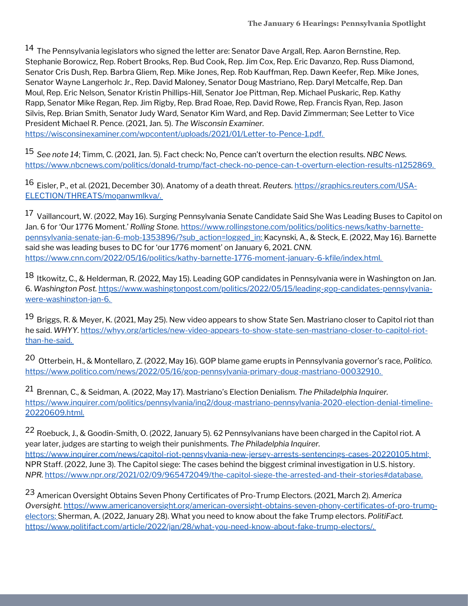$^{14}$  The Pennsylvania legislators who signed the letter are: Senator Dave Argall, Rep. Aaron Bernstine, Rep. Stephanie Borowicz, Rep. Robert Brooks, Rep. Bud Cook, Rep. Jim Cox, Rep. Eric Davanzo, Rep. Russ Diamond, Senator Cris Dush, Rep. Barbra Gliem, Rep. Mike Jones, Rep. Rob Kauffman, Rep. Dawn Keefer, Rep. Mike Jones, Senator Wayne Langerholc Jr., Rep. David Maloney, Senator Doug Mastriano, Rep. Daryl Metcalfe, Rep. Dan Moul, Rep. Eric Nelson, Senator Kristin Phillips-Hill, Senator Joe Pittman, Rep. Michael Puskaric, Rep. Kathy Rapp, Senator Mike Regan, Rep. Jim Rigby, Rep. Brad Roae, Rep. David Rowe, Rep. Francis Ryan, Rep. Jason Silvis, Rep. Brian Smith, Senator Judy Ward, Senator Kim Ward, and Rep. David Zimmerman; See Letter to Vice President Michael R. Pence. (2021, Jan. 5). *The Wisconsin Examiner.*

<https://wisconsinexaminer.com/wpcontent/uploads/2021/01/Letter-to-Pence-1.pdf>.

*See note 14*; Timm, C. (2021, Jan. 5). Fact check: No, Pence can't overturn the election results. *NBC News.* 15 [https://www.nbcnews.com/politics/donald-trump/fact-check-no-pence-can-t-overturn-election-results-n1252869.](https://www.nbcnews.com/politics/donald-trump/fact-check-no-pence-can-t-overturn-election-results-n1252869)

Eisler, P., et al. (2021, December 30). Anatomy of a death threat. *Reuters.* https://graphics.reuters.com/USA-16 [ELECTION/THREATS/mopanwmlkva/.](https://graphics.reuters.com/USA-ELECTION/THREATS/mopanwmlkva/)

 $^{17}$  Vaillancourt, W. (2022, May 16). Surging Pennsylvania Senate Candidate Said She Was Leading Buses to Capitol on Jan. 6 for 'Our 1776 Moment.' Rolling Stone. [https://www.rollingstone.com/politics/politics-news/kathy-barnette](https://www.rollingstone.com/politics/politics-news/kathy-barnette-pennsylvania-senate-jan-6-mob-1353896/?sub_action=logged_in)pennsylvania-senate-jan-6-mob-1353896/?sub\_action=logged\_in; Kacynski, A., & Steck, E. (2022, May 16). Barnette said she was leading buses to DC for 'our 1776 moment' on January 6, 2021. *CNN.* <https://www.cnn.com/2022/05/16/politics/kathy-barnette-1776-moment-january-6-kfile/index.html>.

<sup>18</sup> Itkowitz, C., & Helderman, R. (2022, May 15). Leading GOP candidates in Pennsylvania were in Washington on Jan. 6. *Washington Post.* [https://www.washingtonpost.com/politics/2022/05/15/leading-gop-candidates-pennsylvania](https://www.washingtonpost.com/politics/2022/05/15/leading-gop-candidates-pennsylvania-were-washington-jan-6)were-washington-jan-6.

 $^{19}$  Briggs, R. & Meyer, K. (2021, May 25). New video appears to show State Sen. Mastriano closer to Capitol riot than he said. *WHYY.* [https://whyy.org/articles/new-video-appears-to-show-state-sen-mastriano-closer-to-capitol-riot](https://whyy.org/articles/new-video-appears-to-show-state-sen-mastriano-closer-to-capitol-riot-than-he-said)than-he-said.

Otterbein, H., & Montellaro, Z. (2022, May 16). GOP blame game erupts in Pennsylvania governor's race, *Politico.* 20 [https://www.politico.com/news/2022/05/16/gop-pennsylvania-primary-doug-mastriano-00032910.](https://www.politico.com/news/2022/05/16/gop-pennsylvania-primary-doug-mastriano-00032910)

Brennan, C., & Seidman, A. (2022, May 17). Mastriano's Election Denialism. *The Philadelphia Inquirer.* 21 [https://www.inquirer.com/politics/pennsylvania/inq2/doug-mastriano-pennsylvania-2020-election-denial-timeline-](https://www.inquirer.com/politics/pennsylvania/inq2/doug-mastriano-pennsylvania-2020-election-denial-timeline-20220609.html)20220609.html.

 $^{22}$  Roebuck, J., & Goodin-Smith, O. (2022, January 5). 62 Pennsylvanians have been charged in the Capitol riot. A year later, judges are starting to weigh their punishments. *The Philadelphia Inquirer.* [https://www.inquirer.com/news/capitol-riot-pennsylvania-new-jersey-arrests-sentencings-cases-20220105.html;](https://www.inquirer.com/news/capitol-riot-pennsylvania-new-jersey-arrests-sentencings-cases-20220105.html) NPR Staff. (2022, June 3). The Capitol siege: The cases behind the biggest criminal investigation in U.S. history. *NPR.* [https://www.npr.org/2021/02/09/965472049/the-capitol-siege-the-arrested-and-their-stories#database.](https://www.npr.org/2021/02/09/965472049/the-capitol-siege-the-arrested-and-their-stories#database)

American Oversight Obtains Seven Phony Certificates of Pro-Trump Electors. (2021, March 2). *America* 23*Oversight.* [https://www.americanoversight.org/american-oversight-obtains-seven-phony-certificates-of-pro-trump](https://www.americanoversight.org/american-oversight-obtains-seven-phony-certificates-of-pro-trump-electors)electors; Sherman, A. (2022, January 28). What you need to know about the fake Trump electors. *PolitiFact.* [https://www.politifact.com/article/2022/jan/28/what-you-need-know-about-fake-trump-electors/.](https://www.politifact.com/article/2022/jan/28/what-you-need-know-about-fake-trump-electors/)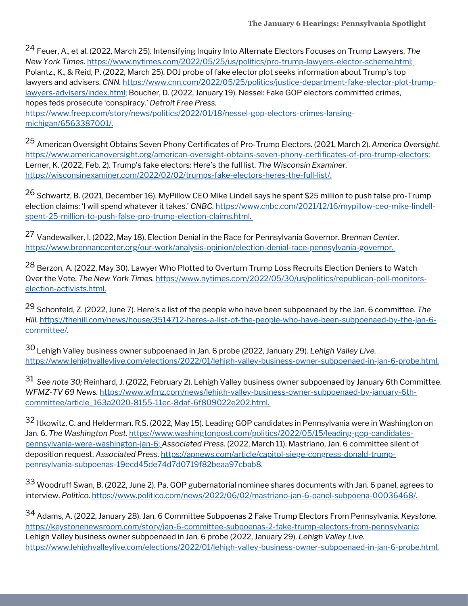Feuer, A., et al. (2022, March 25). Intensifying Inquiry Into Alternate Electors Focuses on Trump Lawyers. *The* 24 *New York Times.* [https://www.nytimes.com/2022/05/25/us/politics/pro-trump-lawyers-elector-scheme.html;](https://www.nytimes.com/2022/05/25/us/politics/pro-trump-lawyers-elector-scheme.html) Polantz., K., & Reid, P. (2022, March 25). DOJ probe of fake elector plot seeks information about Trump's top lawyers and advisers. *CNN.* [https://www.cnn.com/2022/05/25/politics/justice-department-fake-elector-plot-trump](https://www.cnn.com/2022/05/25/politics/justice-department-fake-elector-plot-trump-lawyers-advisers/index.html)lawyers-advisers/index.html; Boucher, D. (2022, January 19). Nessel: Fake GOP electors committed crimes, hopes feds prosecute 'conspiracy.' *Detroit Free Press.*

[https://www.freep.com/story/news/politics/2022/01/18/nessel-gop-electors-crimes-lansing](https://www.freep.com/story/news/politics/2022/01/18/nessel-gop-electors-crimes-lansing-michigan/6563387001/)michigan/6563387001/.

American Oversight Obtains Seven Phony Certificates of Pro-Trump Electors. (2021, March 2). *America Oversight.* 25 https://www.americanoversight.org/american-oversight-obtains-seven-phony-certificates-of-pro-trump-electors; Lerner, K. (2022, Feb. 2). Trump's fake electors: Here's the full list. *The Wisconsin Examiner.* https://wisconsinexaminer.com/2022/02/02/trumps-fake-electors-heres-the-full-list/.

<sup>26</sup> Schwartz, B. (2021, December 16). MyPillow CEO Mike Lindell says he spent \$25 million to push false pro-Trump election claims: 'I will spend whatever it takes.' *CNBC.* https://www.cnbc.com/2021/12/16/mypillow-ceo-mike-lindell[spent-25-million-to-push-false-pro-trump-election-claims.html.](https://www.cnbc.com/2021/12/16/mypillow-ceo-mike-lindell-spent-25-million-to-push-false-pro-trump-election-claims.html)

Vandewalker, I. (2022, May 18). Election Denial in the Race for Pennsylvania Governor. *Brennan Center.* 27 [https://www.brennancenter.org/our-work/analysis-opinion/election-denial-race-pennsylvania-governor.](https://www.brennancenter.org/our-work/analysis-opinion/election-denial-race-pennsylvania-governor)

<sup>28</sup> Berzon, A. (2022, May 30). Lawyer Who Plotted to Overturn Trump Loss Recruits Election Deniers to Watch Over the Vote. *The New York Times.* [https://www.nytimes.com/2022/05/30/us/politics/republican-poll-monitors](https://www.nytimes.com/2022/05/30/us/politics/republican-poll-monitors-election-activists.html)election-activists.html.

<sup>29</sup> Schonfeld, Z. (2022, June 7). Here's a list of the people who have been subpoenaed by the Jan. 6 committee. The *Hill.* [https://thehill.com/news/house/3514712-heres-a-list-of-the-people-who-have-been-subpoenaed-by-the-jan-6](https://thehill.com/news/house/3514712-heres-a-list-of-the-people-who-have-been-subpoenaed-by-the-jan-6-committee/) committee/.

Lehigh Valley business owner subpoenaed in Jan. 6 probe (2022, January 29). *Lehigh Valley Live.* 30 <https://www.lehighvalleylive.com/elections/2022/01/lehigh-valley-business-owner-subpoenaed-in-jan-6-probe.html>.

*See note 30;* Reinhard, J. (2022, February 2). Lehigh Valley business owner subpoenaed by January 6th Committee. 31 *WFMZ-TV 69 News.* [https://www.wfmz.com/news/lehigh-valley-business-owner-subpoenaed-by-january-6th](https://www.wfmz.com/news/lehigh-valley-business-owner-subpoenaed-by-january-6th-committee/article_163a2020-8155-11ec-8daf-6f809022e202.html)committee/article\_163a2020-8155-11ec-8daf-6f809022e202.html.

 $^{32}$  Itkowitz, C. and Helderman, R.S. (2022, May 15). Leading GOP candidates in Pennsylvania were in Washington on Jan. 6. *The Washington Post.* [https://www.washingtonpost.com/politics/2022/05/15/leading-gop-candidates](https://www.washingtonpost.com/politics/2022/05/15/leading-gop-candidates-pennsylvania-were-washington-jan-6)pennsylvania-were-washington-jan-6; *Associated Press.* (2022, March 11). Mastriano, Jan. 6 committee silent of deposition request. *Associated Press.* https://apnews.com/article/capitol-siege-congress-donald-trump[pennsylvania-subpoenas-19ecd45de74d7d0719f82beaa97cbab8.](https://apnews.com/article/capitol-siege-congress-donald-trump-pennsylvania-subpoenas-19ecd45de74d7d0719f82beaa97cbab8)

Woodruff Swan, B. (2022, June 2). Pa. GOP gubernatorial nominee shares documents with Jan. 6 panel, agrees to 33 interview. *Politico.* [https://www.politico.com/news/2022/06/02/mastriano-jan-6-panel-subpoena-00036468/.](https://www.politico.com/news/2022/06/02/mastriano-jan-6-panel-subpoena-00036468/)

Adams, A. (2022, January 28). Jan. 6 Committee Subpoenas 2 Fake Trump Electors From Pennsylvania. *Keystone.* 34[https://keystonenewsroom.com/story/jan-6-committee-subpoenas-2-fake-trump-electors-from-pennsylvania;](https://keystonenewsroom.com/story/jan-6-committee-subpoenas-2-fake-trump-electors-from-pennsylvania) Lehigh Valley business owner subpoenaed in Jan. 6 probe (2022, January 29). *Lehigh Valley Live.* <https://www.lehighvalleylive.com/elections/2022/01/lehigh-valley-business-owner-subpoenaed-in-jan-6-probe.html>.